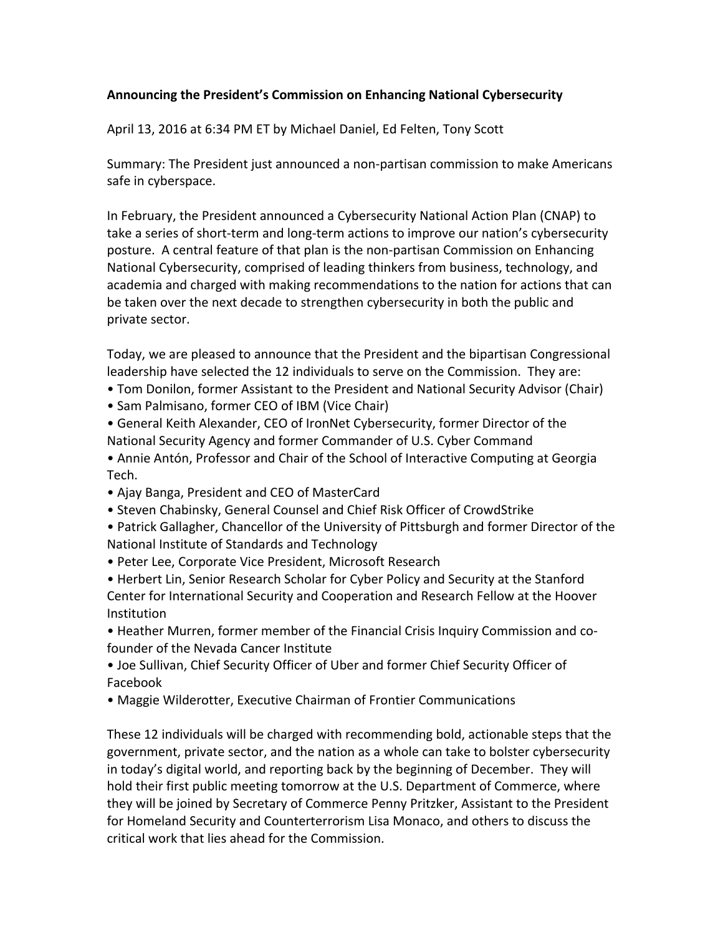## **Announcing the President's Commission on Enhancing National Cybersecurity**

April 13, 2016 at 6:34 PM ET by Michael Daniel, Ed Felten, Tony Scott

Summary: The President just announced a non-partisan commission to make Americans safe in cyberspace.

In February, the President announced a Cybersecurity National Action Plan (CNAP) to take a series of short-term and long-term actions to improve our nation's cybersecurity posture. A central feature of that plan is the non-partisan Commission on Enhancing National Cybersecurity, comprised of leading thinkers from business, technology, and academia and charged with making recommendations to the nation for actions that can be taken over the next decade to strengthen cybersecurity in both the public and private sector.

Today, we are pleased to announce that the President and the bipartisan Congressional leadership have selected the 12 individuals to serve on the Commission. They are:

- Tom Donilon, former Assistant to the President and National Security Advisor (Chair)
- Sam Palmisano, former CEO of IBM (Vice Chair)
- General Keith Alexander, CEO of IronNet Cybersecurity, former Director of the National Security Agency and former Commander of U.S. Cyber Command
- Annie Antón, Professor and Chair of the School of Interactive Computing at Georgia Tech.
- Ajay Banga, President and CEO of MasterCard
- Steven Chabinsky, General Counsel and Chief Risk Officer of CrowdStrike
- Patrick Gallagher, Chancellor of the University of Pittsburgh and former Director of the National Institute of Standards and Technology
- Peter Lee, Corporate Vice President, Microsoft Research

• Herbert Lin, Senior Research Scholar for Cyber Policy and Security at the Stanford Center for International Security and Cooperation and Research Fellow at the Hoover **Institution** 

• Heather Murren, former member of the Financial Crisis Inquiry Commission and cofounder of the Nevada Cancer Institute

• Joe Sullivan, Chief Security Officer of Uber and former Chief Security Officer of Facebook

• Maggie Wilderotter, Executive Chairman of Frontier Communications

These 12 individuals will be charged with recommending bold, actionable steps that the government, private sector, and the nation as a whole can take to bolster cybersecurity in today's digital world, and reporting back by the beginning of December. They will hold their first public meeting tomorrow at the U.S. Department of Commerce, where they will be joined by Secretary of Commerce Penny Pritzker, Assistant to the President for Homeland Security and Counterterrorism Lisa Monaco, and others to discuss the critical work that lies ahead for the Commission.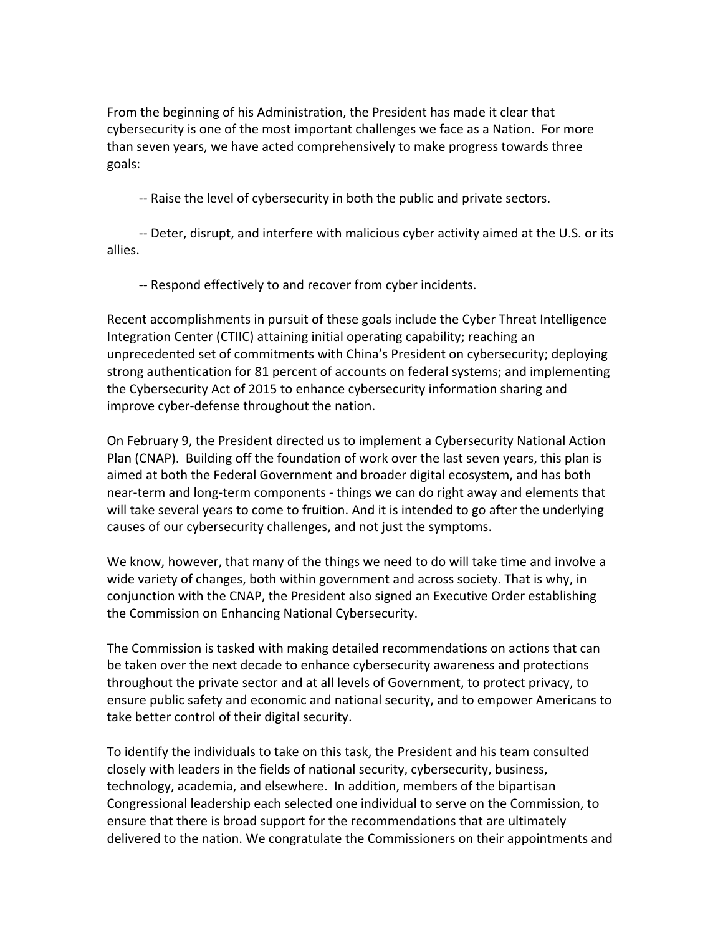From the beginning of his Administration, the President has made it clear that cybersecurity is one of the most important challenges we face as a Nation. For more than seven years, we have acted comprehensively to make progress towards three goals:

-- Raise the level of cybersecurity in both the public and private sectors.

-- Deter, disrupt, and interfere with malicious cyber activity aimed at the U.S. or its allies.

-- Respond effectively to and recover from cyber incidents.

Recent accomplishments in pursuit of these goals include the Cyber Threat Intelligence Integration Center (CTIIC) attaining initial operating capability; reaching an unprecedented set of commitments with China's President on cybersecurity; deploying strong authentication for 81 percent of accounts on federal systems; and implementing the Cybersecurity Act of 2015 to enhance cybersecurity information sharing and improve cyber-defense throughout the nation.

On February 9, the President directed us to implement a Cybersecurity National Action Plan (CNAP). Building off the foundation of work over the last seven years, this plan is aimed at both the Federal Government and broader digital ecosystem, and has both near-term and long-term components - things we can do right away and elements that will take several years to come to fruition. And it is intended to go after the underlying causes of our cybersecurity challenges, and not just the symptoms.

We know, however, that many of the things we need to do will take time and involve a wide variety of changes, both within government and across society. That is why, in conjunction with the CNAP, the President also signed an Executive Order establishing the Commission on Enhancing National Cybersecurity.

The Commission is tasked with making detailed recommendations on actions that can be taken over the next decade to enhance cybersecurity awareness and protections throughout the private sector and at all levels of Government, to protect privacy, to ensure public safety and economic and national security, and to empower Americans to take better control of their digital security.

To identify the individuals to take on this task, the President and his team consulted closely with leaders in the fields of national security, cybersecurity, business, technology, academia, and elsewhere. In addition, members of the bipartisan Congressional leadership each selected one individual to serve on the Commission, to ensure that there is broad support for the recommendations that are ultimately delivered to the nation. We congratulate the Commissioners on their appointments and